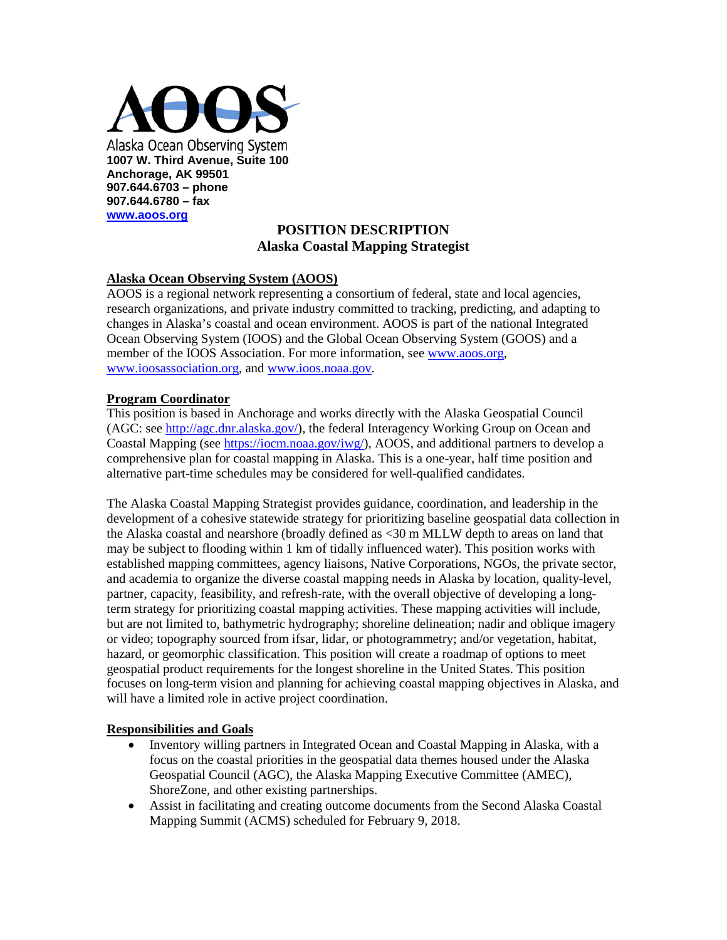

## **POSITION DESCRIPTION Alaska Coastal Mapping Strategist**

#### **Alaska Ocean Observing System (AOOS)**

AOOS is a regional network representing a consortium of federal, state and local agencies, research organizations, and private industry committed to tracking, predicting, and adapting to changes in Alaska's coastal and ocean environment. AOOS is part of the national Integrated Ocean Observing System (IOOS) and the Global Ocean Observing System (GOOS) and a member of the IOOS Association. For more information, see [www.aoos.org,](http://www.aoos.org/) [www.ioosassociation.org,](http://www.ioosassociation.org/) and [www.ioos.noaa.gov.](http://www.ioos.noaa.gov/)

#### **Program Coordinator**

This position is based in Anchorage and works directly with the Alaska Geospatial Council (AGC: see [http://agc.dnr.alaska.gov/\)](http://agc.dnr.alaska.gov/), the federal Interagency Working Group on Ocean and Coastal Mapping (see [https://iocm.noaa.gov/iwg/\)](https://iocm.noaa.gov/iwg/), AOOS, and additional partners to develop a comprehensive plan for coastal mapping in Alaska. This is a one-year, half time position and alternative part-time schedules may be considered for well-qualified candidates.

The Alaska Coastal Mapping Strategist provides guidance, coordination, and leadership in the development of a cohesive statewide strategy for prioritizing baseline geospatial data collection in the Alaska coastal and nearshore (broadly defined as <30 m MLLW depth to areas on land that may be subject to flooding within 1 km of tidally influenced water). This position works with established mapping committees, agency liaisons, Native Corporations, NGOs, the private sector, and academia to organize the diverse coastal mapping needs in Alaska by location, quality-level, partner, capacity, feasibility, and refresh-rate, with the overall objective of developing a longterm strategy for prioritizing coastal mapping activities. These mapping activities will include, but are not limited to, bathymetric hydrography; shoreline delineation; nadir and oblique imagery or video; topography sourced from ifsar, lidar, or photogrammetry; and/or vegetation, habitat, hazard, or geomorphic classification. This position will create a roadmap of options to meet geospatial product requirements for the longest shoreline in the United States. This position focuses on long-term vision and planning for achieving coastal mapping objectives in Alaska, and will have a limited role in active project coordination.

#### **Responsibilities and Goals**

- Inventory willing partners in Integrated Ocean and Coastal Mapping in Alaska, with a focus on the coastal priorities in the geospatial data themes housed under the Alaska Geospatial Council (AGC), the Alaska Mapping Executive Committee (AMEC), ShoreZone, and other existing partnerships.
- Assist in facilitating and creating outcome documents from the Second Alaska Coastal Mapping Summit (ACMS) scheduled for February 9, 2018.